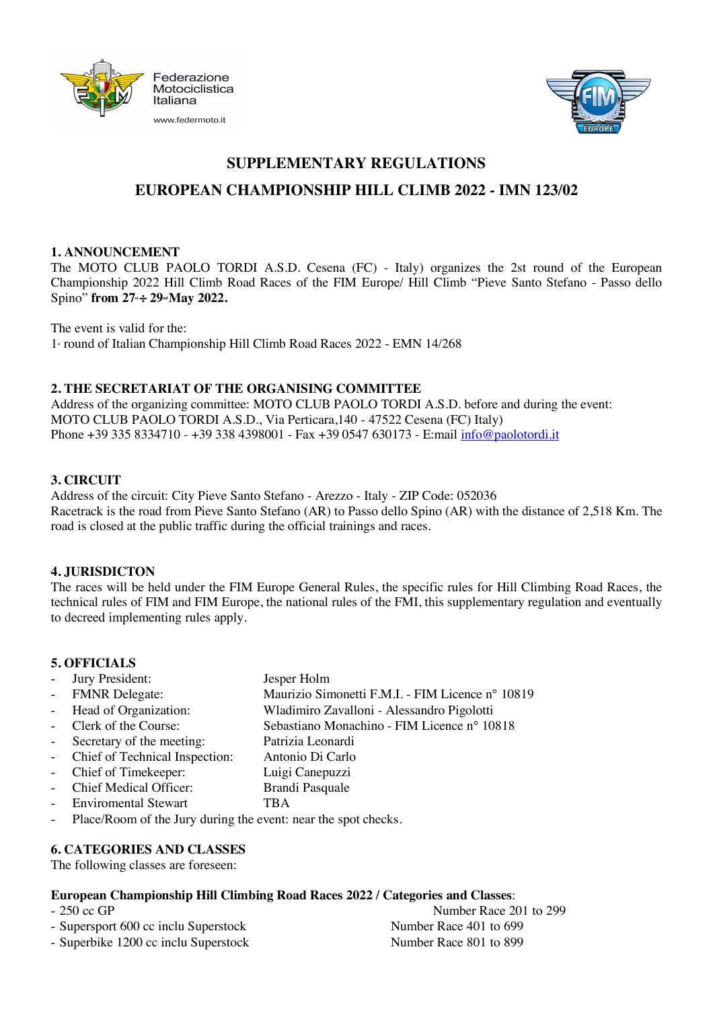



## **SUPPLEMENTARY REGULATIONS**

# **EUROPEAN CHAMPIONSHIP HILL CLIMB 2022 - IMN 123/02**

### **1. ANNOUNCEMENT**

The MOTO CLUB PAOLO TORDI A.S.D. Cesena (FC) - Italy) organizes the 2st round of the European Championship 2022 Hill Climb Road Races of the FIM Europe/ Hill Climb "Pieve Santo Stefano - Passo dello Spino" **from 27st ÷ 29nd May 2022.**

The event is valid for the: 1<sup>st</sup> round of Italian Championship Hill Climb Road Races 2022 - EMN 14/268

## **2. THE SECRETARIAT OF THE ORGANISING COMMITTEE**

Address of the organizing committee: MOTO CLUB PAOLO TORDI A.S.D. before and during the event: MOTO CLUB PAOLO TORDI A.S.D., Via Perticara,140 - 47522 Cesena (FC) Italy) Phone +39 335 8334710 - +39 338 4398001 - Fax +39 0547 630173 - E:mail info@paolotordi.it

## **3. CIRCUIT**

Address of the circuit: City Pieve Santo Stefano - Arezzo - Italy - ZIP Code: 052036 Racetrack is the road from Pieve Santo Stefano (AR) to Passo dello Spino (AR) with the distance of 2,518 Km. The road is closed at the public traffic during the official trainings and races.

#### **4. JURISDICTON**

The races will be held under the FIM Europe General Rules, the specific rules for Hill Climbing Road Races, the technical rules of FIM and FIM Europe, the national rules of the FMI, this supplementary regulation and eventually to decreed implementing rules apply.

## **5. OFFICIALS**

| - Jury President:                                                | Jesper Holm                                      |  |
|------------------------------------------------------------------|--------------------------------------------------|--|
| - FMNR Delegate:                                                 | Maurizio Simonetti F.M.I. - FIM Licence nº 10819 |  |
| - Head of Organization:                                          | Wladimiro Zavalloni - Alessandro Pigolotti       |  |
| - Clerk of the Course:                                           | Sebastiano Monachino - FIM Licence nº 10818      |  |
| - Secretary of the meeting:                                      | Patrizia Leonardi                                |  |
| - Chief of Technical Inspection:                                 | Antonio Di Carlo                                 |  |
| - Chief of Timekeeper:                                           | Luigi Canepuzzi                                  |  |
| - Chief Medical Officer:                                         | <b>Brandi Pasquale</b>                           |  |
| - Enviromental Stewart                                           | TBA                                              |  |
| - Place/Room of the Jury during the event: near the spot checks. |                                                  |  |

## **6. CATEGORIES AND CLASSES**

The following classes are foreseen:

#### **European Championship Hill Climbing Road Races 2022 / Categories and Classes**:

- 
- Supersport 600 cc inclu Superstock Number Race 401 to 699
- Superbike 1200 cc inclu Superstock Number Race 801 to 899

- 250 cc GP Number Race 201 to 299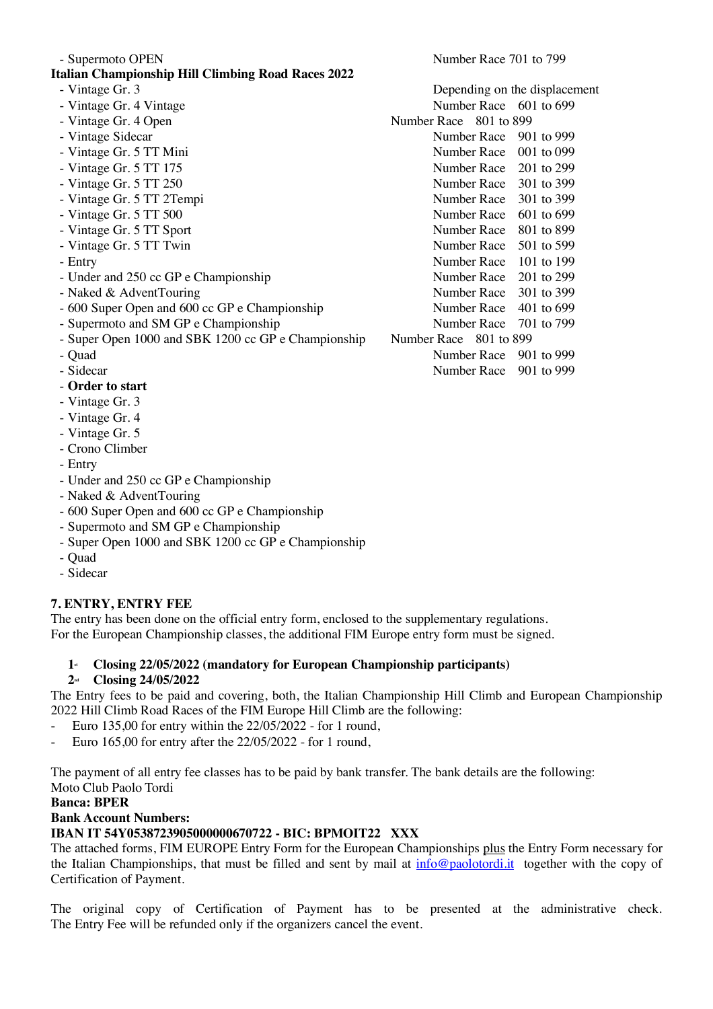| - Supermoto OPEN                                          | Number Race 701 to 799 |                               |
|-----------------------------------------------------------|------------------------|-------------------------------|
| <b>Italian Championship Hill Climbing Road Races 2022</b> |                        |                               |
| - Vintage Gr. 3                                           |                        | Depending on the displacement |
| - Vintage Gr. 4 Vintage                                   | Number Race 601 to 699 |                               |
| - Vintage Gr. 4 Open                                      | Number Race 801 to 899 |                               |
| - Vintage Sidecar                                         | Number Race            | 901 to 999                    |
| - Vintage Gr. 5 TT Mini                                   | Number Race            | 001 to 099                    |
| - Vintage Gr. 5 TT 175                                    | Number Race 201 to 299 |                               |
| - Vintage Gr. 5 TT 250                                    | Number Race 301 to 399 |                               |
| - Vintage Gr. 5 TT 2Tempi                                 | Number Race            | 301 to 399                    |
| - Vintage Gr. 5 TT 500                                    | Number Race            | 601 to 699                    |
| - Vintage Gr. 5 TT Sport                                  | Number Race            | 801 to 899                    |
| - Vintage Gr. 5 TT Twin                                   | Number Race            | 501 to 599                    |
| - Entry                                                   | Number Race            | 101 to 199                    |
| - Under and 250 cc GP e Championship                      | Number Race 201 to 299 |                               |
| - Naked & AdventTouring                                   | Number Race 301 to 399 |                               |
| - 600 Super Open and 600 cc GP e Championship             | Number Race            | 401 to 699                    |
| - Supermoto and SM GP e Championship                      | Number Race            | 701 to 799                    |
| - Super Open 1000 and SBK 1200 cc GP e Championship       | Number Race 801 to 899 |                               |
| - Quad                                                    | Number Race            | 901 to 999                    |
| - Sidecar                                                 | Number Race            | 901 to 999                    |
| - Order to start                                          |                        |                               |

- Vintage Gr. 3
- Vintage Gr. 4
- Vintage Gr. 5
- Crono Climber
- Entry
- Under and 250 cc GP e Championship
- Naked & AdventTouring
- 600 Super Open and 600 cc GP e Championship
- Supermoto and SM GP e Championship
- Super Open 1000 and SBK 1200 cc GP e Championship
- Quad
- Sidecar

# **7. ENTRY, ENTRY FEE**

The entry has been done on the official entry form, enclosed to the supplementary regulations. For the European Championship classes, the additional FIM Europe entry form must be signed.

# **1st Closing 22/05/2022 (mandatory for European Championship participants)**

# **2nd Closing 24/05/2022**

The Entry fees to be paid and covering, both, the Italian Championship Hill Climb and European Championship 2022 Hill Climb Road Races of the FIM Europe Hill Climb are the following:

- Euro 135,00 for entry within the 22/05/2022 for 1 round,
- Euro 165,00 for entry after the 22/05/2022 for 1 round,

The payment of all entry fee classes has to be paid by bank transfer. The bank details are the following: Moto Club Paolo Tordi

# **Banca: BPER**

# **Bank Account Numbers:**

# **IBAN IT 54Y0538723905000000670722 - BIC: BPMOIT22 XXX**

The attached forms, FIM EUROPE Entry Form for the European Championships plus the Entry Form necessary for the Italian Championships, that must be filled and sent by mail at  $info@paolotordi.it$  together with the copy of Certification of Payment.

The original copy of Certification of Payment has to be presented at the administrative check. The Entry Fee will be refunded only if the organizers cancel the event.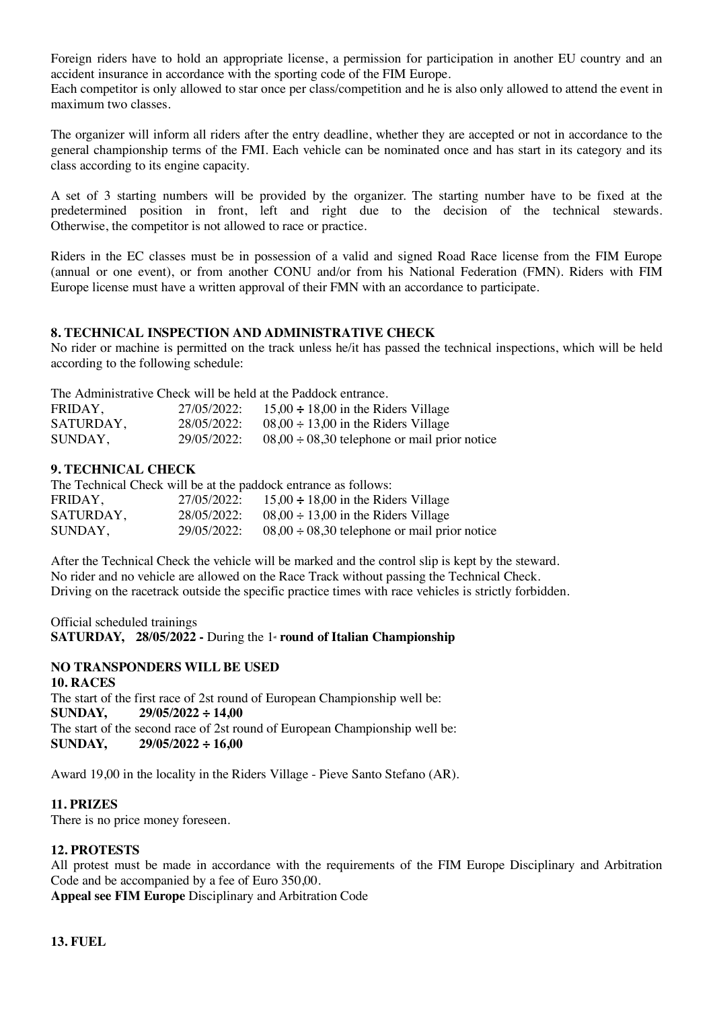Foreign riders have to hold an appropriate license, a permission for participation in another EU country and an accident insurance in accordance with the sporting code of the FIM Europe.

Each competitor is only allowed to star once per class/competition and he is also only allowed to attend the event in maximum two classes.

The organizer will inform all riders after the entry deadline, whether they are accepted or not in accordance to the general championship terms of the FMI. Each vehicle can be nominated once and has start in its category and its class according to its engine capacity.

A set of 3 starting numbers will be provided by the organizer. The starting number have to be fixed at the predetermined position in front, left and right due to the decision of the technical stewards. Otherwise, the competitor is not allowed to race or practice.

Riders in the EC classes must be in possession of a valid and signed Road Race license from the FIM Europe (annual or one event), or from another CONU and/or from his National Federation (FMN). Riders with FIM Europe license must have a written approval of their FMN with an accordance to participate.

### **8. TECHNICAL INSPECTION AND ADMINISTRATIVE CHECK**

No rider or machine is permitted on the track unless he/it has passed the technical inspections, which will be held according to the following schedule:

The Administrative Check will be held at the Paddock entrance.

| FRIDAY,   | 27/05/2022: | $15,00 \div 18,00$ in the Riders Village          |
|-----------|-------------|---------------------------------------------------|
| SATURDAY, | 28/05/2022: | $08,00 \div 13,00$ in the Riders Village          |
| SUNDAY,   | 29/05/2022: | $08,00 \div 08,30$ telephone or mail prior notice |

### **9. TECHNICAL CHECK**

| The Technical Check will be at the paddock entrance as follows: |             |                                                      |  |  |  |  |  |
|-----------------------------------------------------------------|-------------|------------------------------------------------------|--|--|--|--|--|
| FRIDAY.                                                         |             | 27/05/2022: 15,00 $\div$ 18,00 in the Riders Village |  |  |  |  |  |
| SATURDAY,                                                       | 28/05/2022: | $08,00 \div 13,00$ in the Riders Village             |  |  |  |  |  |
| SUNDAY,                                                         | 29/05/2022: | $08,00 \div 08,30$ telephone or mail prior notice    |  |  |  |  |  |

After the Technical Check the vehicle will be marked and the control slip is kept by the steward. No rider and no vehicle are allowed on the Race Track without passing the Technical Check. Driving on the racetrack outside the specific practice times with race vehicles is strictly forbidden.

Official scheduled trainings **SATURDAY, 28/05/2022 -** During the 1<sup>*s*</sup> **round of Italian Championship** 

## **NO TRANSPONDERS WILL BE USED**

**10. RACES** The start of the first race of 2st round of European Championship well be: **SUNDAY, 29/05/2022 ÷ 14,00** The start of the second race of 2st round of European Championship well be:<br>SUNDAY,  $29/05/2022 \div 16,00$ **SUNDAY, 29/05/2022 ÷ 16,00**

Award 19,00 in the locality in the Riders Village - Pieve Santo Stefano (AR).

#### **11. PRIZES**

There is no price money foreseen.

## **12. PROTESTS**

All protest must be made in accordance with the requirements of the FIM Europe Disciplinary and Arbitration Code and be accompanied by a fee of Euro 350,00.

**Appeal see FIM Europe** Disciplinary and Arbitration Code